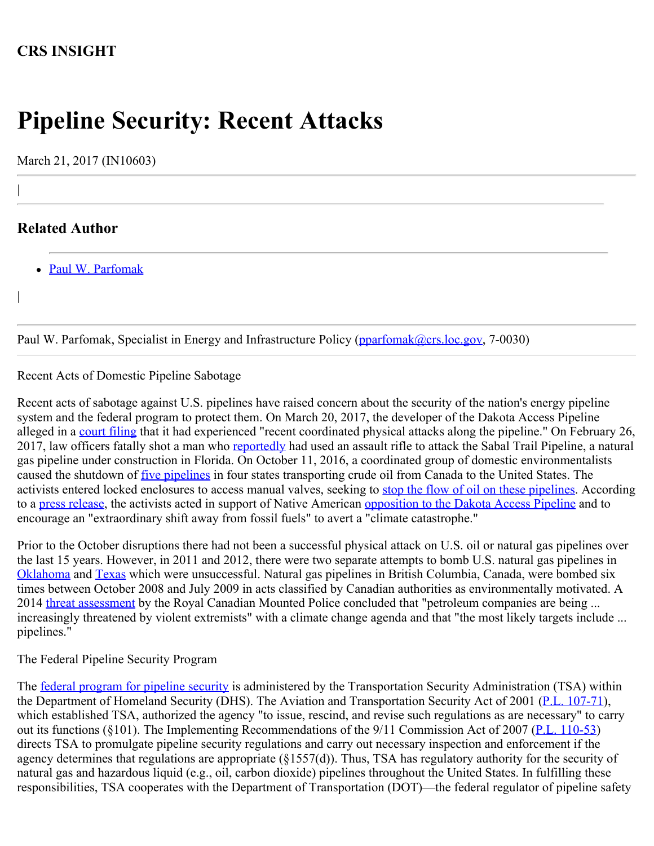## **CRS INSIGHT**

# **Pipeline Security: Recent Attacks**

March 21, 2017 (IN10603)

### **Related Author**

|

|

[Paul W. Parfomak](http://www.crs.gov/Author/index?id=77139)

Paul W. Parfomak, Specialist in Energy and Infrastructure Policy [\(pparfomak@crs.loc.gov,](mailto:pparfomak@crs.loc.gov) 7-0030)

#### Recent Acts of Domestic Pipeline Sabotage

Recent acts of sabotage against U.S. pipelines have raised concern about the security of the nation's energy pipeline system and the federal program to protect them. On March 20, 2017, the developer of the Dakota Access Pipeline alleged in a [court filing](https://www.indianz.com/News/2017/03/20/04515984601.pdf) that it had experienced "recent coordinated physical attacks along the pipeline." On February 26, 2017, law officers fatally shot a man who [reportedly](http://www.wftv.com/news/local/deputies-trooper-fatally-shoot-armed-man-who-shot-at-sabal-pipeline/497928179) had used an assault rifle to attack the Sabal Trail Pipeline, a natural gas pipeline under construction in Florida. On October 11, 2016, a coordinated group of domestic environmentalists caused the shutdown of *[five pipelines](https://www.pipelinelaw.com/2016/10/12/activists-attempt-shut-pipelines-five-major-oil-pipelines/)* in four states transporting crude oil from Canada to the United States. The activists entered locked enclosures to access manual valves, seeking to [stop the flow of oil on these pipelines.](http://www.reuters.com/article/us-usa-canada-pipelines-vulnerabilities-idUSKCN12C0BK) According to a [press release](http://www.commondreams.org/newswire/2016/10/11/avert-climate-catastrophe-activists-shut-down-5-pipelines-bringing-tar-sands-oil), the activists acted in support of Native American [opposition to the Dakota Access Pipeline](https://fas.org/sgp/crs/misc/IN10567.pdf) and to encourage an "extraordinary shift away from fossil fuels" to avert a "climate catastrophe."

Prior to the October disruptions there had not been a successful physical attack on U.S. oil or natural gas pipelines over the last 15 years. However, in 2011 and 2012, there were two separate attempts to bomb U.S. natural gas pipelines in [Oklahoma](https://archives.fbi.gov/archives/oklahomacity/press-releases/2012/konawa-man-sentenced-for-attempting-to-destroy-or-damage-property-using-an-explosive) and [Texas](https://archives.fbi.gov/archives/dallas/press-releases/2013/plano-man-guilty-in-pipeline-bombing-incident) which were unsuccessful. Natural gas pipelines in British Columbia, Canada, were bombed six times between October 2008 and July 2009 in acts classified by Canadian authorities as environmentally motivated. A 2014 [threat assessment](http://www.desmogblog.com/sites/beta.desmogblog.com/files/RCMP%20-%20Criminal%20Threats%20to%20Canadian%20Petroleum%20Industry.pdf) by the Royal Canadian Mounted Police concluded that "petroleum companies are being... increasingly threatened by violent extremists" with a climate change agenda and that "the most likely targets include ... pipelines."

#### The Federal Pipeline Security Program

The <u>federal program for pipeline security</u> is administered by the Transportation Security Administration (TSA) within the Department of Homeland Security (DHS). The Aviation and Transportation Security Act of 2001 [\(P.L. 107-71](http://www.congress.gov/cgi-lis/bdquery/R?d107:FLD002:@1(107+71))), which established TSA, authorized the agency "to issue, rescind, and revise such regulations as are necessary" to carry out its functions (§101). The Implementing Recommendations of the 9/11 Commission Act of 2007 [\(P.L. 110-53](http://www.congress.gov/cgi-lis/bdquery/R?d110:FLD002:@1(110+53))) directs TSA to promulgate pipeline security regulations and carry out necessary inspection and enforcement if the agency determines that regulations are appropriate (§1557(d)). Thus, TSA has regulatory authority for the security of natural gas and hazardous liquid (e.g., oil, carbon dioxide) pipelines throughout the United States. In fulfilling these responsibilities, TSA cooperates with the Department of Transportation (DOT)—the federal regulator of pipeline safety